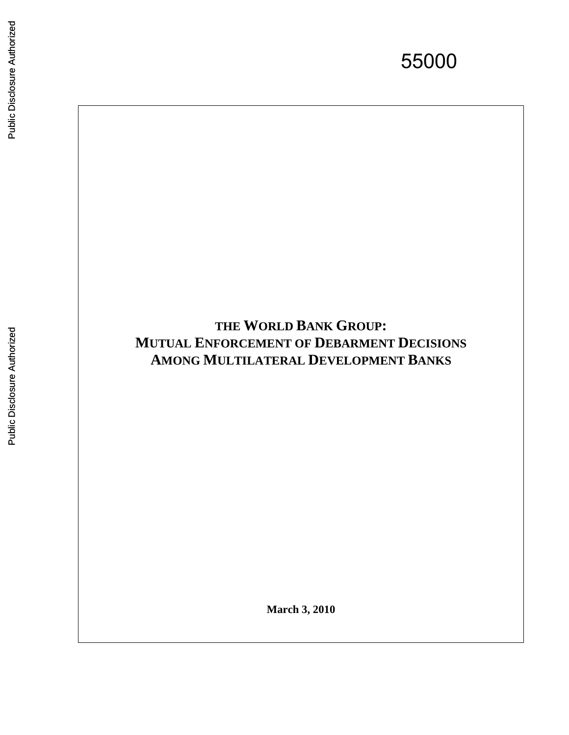55000

# **THE WORLD BANK GROUP : MUTUAL ENFORCEMENT OF DEBARMENT DECISIONS AMONG MULTILATERAL DEVELOPMENT BANKS**

**March 3, 2010**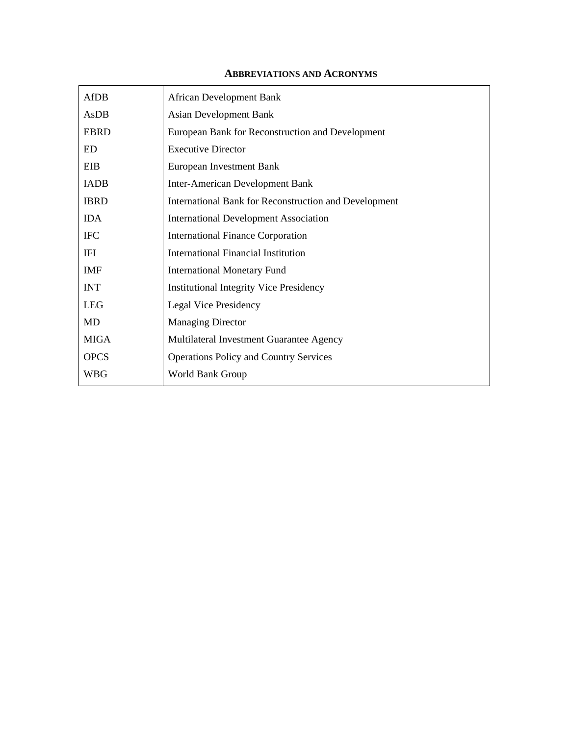#### **ABBREVIATIONS AND ACRONYMS**

| <b>AfDB</b> | <b>African Development Bank</b>                       |
|-------------|-------------------------------------------------------|
| AsDB        | <b>Asian Development Bank</b>                         |
| <b>EBRD</b> | European Bank for Reconstruction and Development      |
| ED          | <b>Executive Director</b>                             |
| EIB         | European Investment Bank                              |
| <b>IADB</b> | <b>Inter-American Development Bank</b>                |
| <b>IBRD</b> | International Bank for Reconstruction and Development |
| <b>IDA</b>  | <b>International Development Association</b>          |
| <b>IFC</b>  | <b>International Finance Corporation</b>              |
| IFI         | <b>International Financial Institution</b>            |
| <b>IMF</b>  | <b>International Monetary Fund</b>                    |
| <b>INT</b>  | <b>Institutional Integrity Vice Presidency</b>        |
| <b>LEG</b>  | <b>Legal Vice Presidency</b>                          |
| MD          | <b>Managing Director</b>                              |
| <b>MIGA</b> | Multilateral Investment Guarantee Agency              |
| <b>OPCS</b> | <b>Operations Policy and Country Services</b>         |
| WBG         | World Bank Group                                      |
|             |                                                       |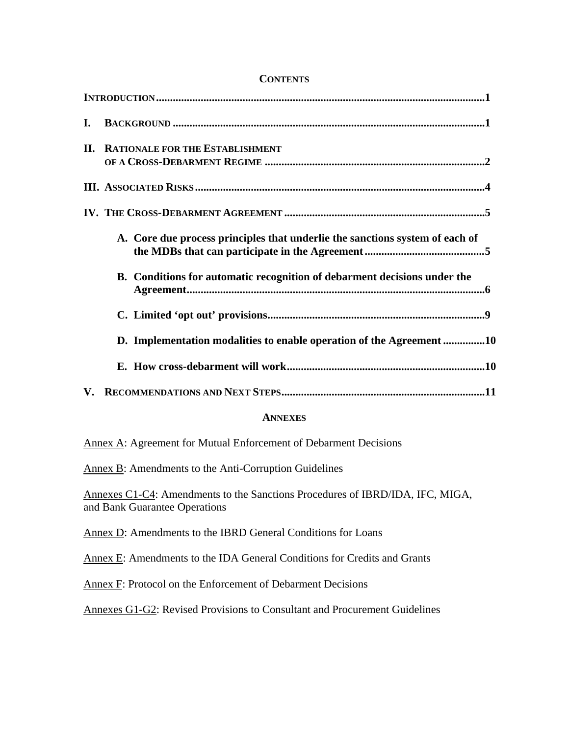| I.  |                                                                              |
|-----|------------------------------------------------------------------------------|
| II. | <b>RATIONALE FOR THE ESTABLISHMENT</b>                                       |
|     |                                                                              |
|     |                                                                              |
|     | A. Core due process principles that underlie the sanctions system of each of |
|     | B. Conditions for automatic recognition of debarment decisions under the     |
|     |                                                                              |
|     | D. Implementation modalities to enable operation of the Agreement 10         |
|     |                                                                              |
|     |                                                                              |
|     | <b>ANNEXES</b>                                                               |
|     | Annex A: Agreement for Mutual Enforcement of Debarment Decisions             |
|     | Annex B: Amendments to the Anti-Corruption Guidelines                        |

## **CONTENTS**

Annexes C1-C4: Amendments to the Sanctions Procedures of IBRD/IDA, IFC, MIGA, and Bank Guarantee Operations

Annex D: Amendments to the IBRD General Conditions for Loans

Annex E: Amendments to the IDA General Conditions for Credits and Grants

Annex F: Protocol on the Enforcement of Debarment Decisions

Annexes G1-G2: Revised Provisions to Consultant and Procurement Guidelines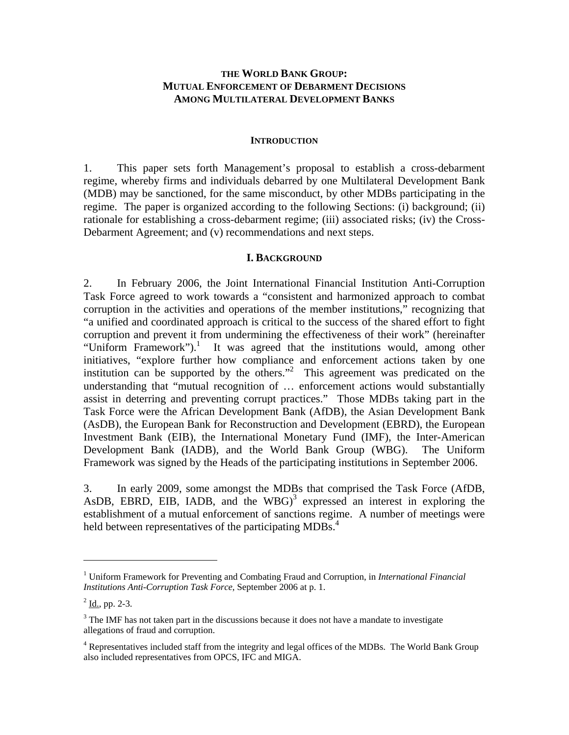## **THE WORLD BANK GROUP: MUTUAL ENFORCEMENT OF DEBARMENT DECISIONS AMONG MULTILATERAL DEVELOPMENT BANKS**

#### **INTRODUCTION**

1. This paper sets forth Management's proposal to establish a cross-debarment regime, whereby firms and individuals debarred by one Multilateral Development Bank (MDB) may be sanctioned, for the same misconduct, by other MDBs participating in the regime. The paper is organized according to the following Sections: (i) background; (ii) rationale for establishing a cross-debarment regime; (iii) associated risks; (iv) the Cross-Debarment Agreement; and (v) recommendations and next steps.

#### **I. BACKGROUND**

2. In February 2006, the Joint International Financial Institution Anti-Corruption Task Force agreed to work towards a "consistent and harmonized approach to combat corruption in the activities and operations of the member institutions," recognizing that "a unified and coordinated approach is critical to the success of the shared effort to fight corruption and prevent it from undermining the effectiveness of their work" (hereinafter "Uniform Framework").<sup>1</sup> It was agreed that the institutions would, among other initiatives, "explore further how compliance and enforcement actions taken by one institution can be supported by the others."2 This agreement was predicated on the understanding that "mutual recognition of … enforcement actions would substantially assist in deterring and preventing corrupt practices." Those MDBs taking part in the Task Force were the African Development Bank (AfDB), the Asian Development Bank (AsDB), the European Bank for Reconstruction and Development (EBRD), the European Investment Bank (EIB), the International Monetary Fund (IMF), the Inter-American Development Bank (IADB), and the World Bank Group (WBG). The Uniform Framework was signed by the Heads of the participating institutions in September 2006.

3. In early 2009, some amongst the MDBs that comprised the Task Force (AfDB, AsDB, EBRD, EIB, IADB, and the WBG $)^3$  expressed an interest in exploring the establishment of a mutual enforcement of sanctions regime. A number of meetings were held between representatives of the participating MDBs.<sup>4</sup>

<sup>&</sup>lt;sup>1</sup> Uniform Framework for Preventing and Combating Fraud and Corruption, in *International Financial Institutions Anti-Corruption Task Force*, September 2006 at p. 1.

 $2^2$  <u>Id., pp.</u> 2-3.

 $3$  The IMF has not taken part in the discussions because it does not have a mandate to investigate allegations of fraud and corruption.

<sup>&</sup>lt;sup>4</sup> Representatives included staff from the integrity and legal offices of the MDBs. The World Bank Group also included representatives from OPCS, IFC and MIGA.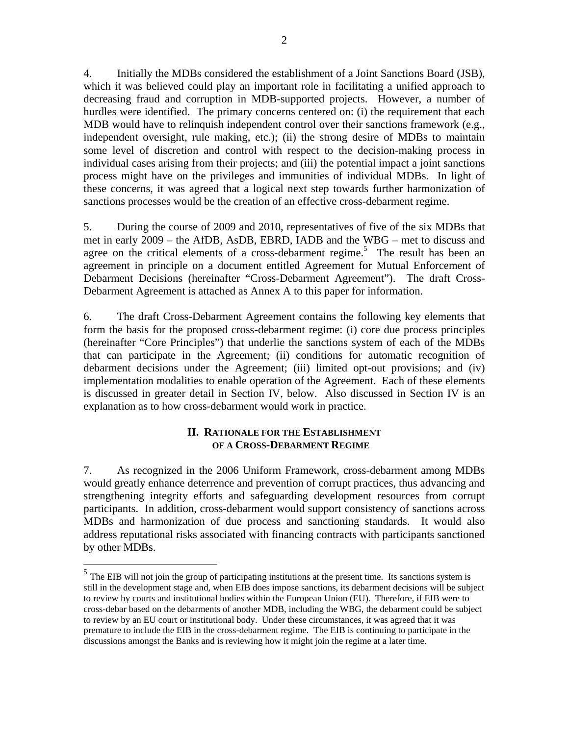4. Initially the MDBs considered the establishment of a Joint Sanctions Board (JSB), which it was believed could play an important role in facilitating a unified approach to decreasing fraud and corruption in MDB-supported projects. However, a number of hurdles were identified. The primary concerns centered on: (i) the requirement that each MDB would have to relinquish independent control over their sanctions framework (e.g., independent oversight, rule making, etc.); (ii) the strong desire of MDBs to maintain some level of discretion and control with respect to the decision-making process in individual cases arising from their projects; and (iii) the potential impact a joint sanctions process might have on the privileges and immunities of individual MDBs. In light of these concerns, it was agreed that a logical next step towards further harmonization of sanctions processes would be the creation of an effective cross-debarment regime.

5. During the course of 2009 and 2010, representatives of five of the six MDBs that met in early 2009 – the AfDB, AsDB, EBRD, IADB and the WBG – met to discuss and agree on the critical elements of a cross-debarment regime.<sup>5</sup> The result has been an agreement in principle on a document entitled Agreement for Mutual Enforcement of Debarment Decisions (hereinafter "Cross-Debarment Agreement"). The draft Cross-Debarment Agreement is attached as Annex A to this paper for information.

6. The draft Cross-Debarment Agreement contains the following key elements that form the basis for the proposed cross-debarment regime: (i) core due process principles (hereinafter "Core Principles") that underlie the sanctions system of each of the MDBs that can participate in the Agreement; (ii) conditions for automatic recognition of debarment decisions under the Agreement; (iii) limited opt-out provisions; and (iv) implementation modalities to enable operation of the Agreement. Each of these elements is discussed in greater detail in Section IV, below. Also discussed in Section IV is an explanation as to how cross-debarment would work in practice.

## **II. RATIONALE FOR THE ESTABLISHMENT OF A CROSS-DEBARMENT REGIME**

7. As recognized in the 2006 Uniform Framework, cross-debarment among MDBs would greatly enhance deterrence and prevention of corrupt practices, thus advancing and strengthening integrity efforts and safeguarding development resources from corrupt participants. In addition, cross-debarment would support consistency of sanctions across MDBs and harmonization of due process and sanctioning standards. It would also address reputational risks associated with financing contracts with participants sanctioned by other MDBs.

 $<sup>5</sup>$  The EIB will not join the group of participating institutions at the present time. Its sanctions system is</sup> still in the development stage and, when EIB does impose sanctions, its debarment decisions will be subject to review by courts and institutional bodies within the European Union (EU). Therefore, if EIB were to cross-debar based on the debarments of another MDB, including the WBG, the debarment could be subject to review by an EU court or institutional body. Under these circumstances, it was agreed that it was premature to include the EIB in the cross-debarment regime. The EIB is continuing to participate in the discussions amongst the Banks and is reviewing how it might join the regime at a later time.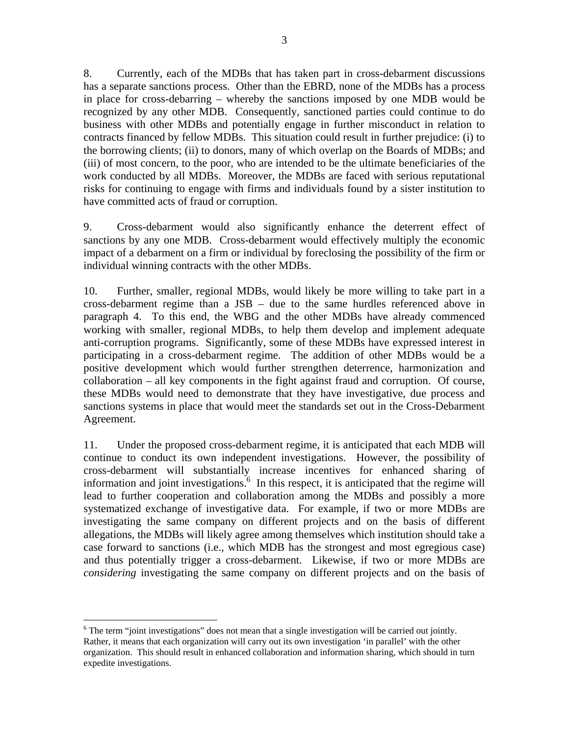8. Currently, each of the MDBs that has taken part in cross-debarment discussions has a separate sanctions process. Other than the EBRD, none of the MDBs has a process in place for cross-debarring – whereby the sanctions imposed by one MDB would be recognized by any other MDB. Consequently, sanctioned parties could continue to do business with other MDBs and potentially engage in further misconduct in relation to contracts financed by fellow MDBs. This situation could result in further prejudice: (i) to the borrowing clients; (ii) to donors, many of which overlap on the Boards of MDBs; and (iii) of most concern, to the poor, who are intended to be the ultimate beneficiaries of the work conducted by all MDBs. Moreover, the MDBs are faced with serious reputational risks for continuing to engage with firms and individuals found by a sister institution to have committed acts of fraud or corruption.

9. Cross-debarment would also significantly enhance the deterrent effect of sanctions by any one MDB. Cross-debarment would effectively multiply the economic impact of a debarment on a firm or individual by foreclosing the possibility of the firm or individual winning contracts with the other MDBs.

10. Further, smaller, regional MDBs, would likely be more willing to take part in a cross-debarment regime than a JSB – due to the same hurdles referenced above in paragraph 4. To this end, the WBG and the other MDBs have already commenced working with smaller, regional MDBs, to help them develop and implement adequate anti-corruption programs. Significantly, some of these MDBs have expressed interest in participating in a cross-debarment regime. The addition of other MDBs would be a positive development which would further strengthen deterrence, harmonization and collaboration – all key components in the fight against fraud and corruption. Of course, these MDBs would need to demonstrate that they have investigative, due process and sanctions systems in place that would meet the standards set out in the Cross-Debarment Agreement.

11. Under the proposed cross-debarment regime, it is anticipated that each MDB will continue to conduct its own independent investigations. However, the possibility of cross-debarment will substantially increase incentives for enhanced sharing of information and joint investigations.  $6\,$  In this respect, it is anticipated that the regime will lead to further cooperation and collaboration among the MDBs and possibly a more systematized exchange of investigative data. For example, if two or more MDBs are investigating the same company on different projects and on the basis of different allegations, the MDBs will likely agree among themselves which institution should take a case forward to sanctions (i.e., which MDB has the strongest and most egregious case) and thus potentially trigger a cross-debarment. Likewise, if two or more MDBs are *considering* investigating the same company on different projects and on the basis of

<u>.</u>

 $6$  The term "joint investigations" does not mean that a single investigation will be carried out jointly. Rather, it means that each organization will carry out its own investigation 'in parallel' with the other organization. This should result in enhanced collaboration and information sharing, which should in turn expedite investigations.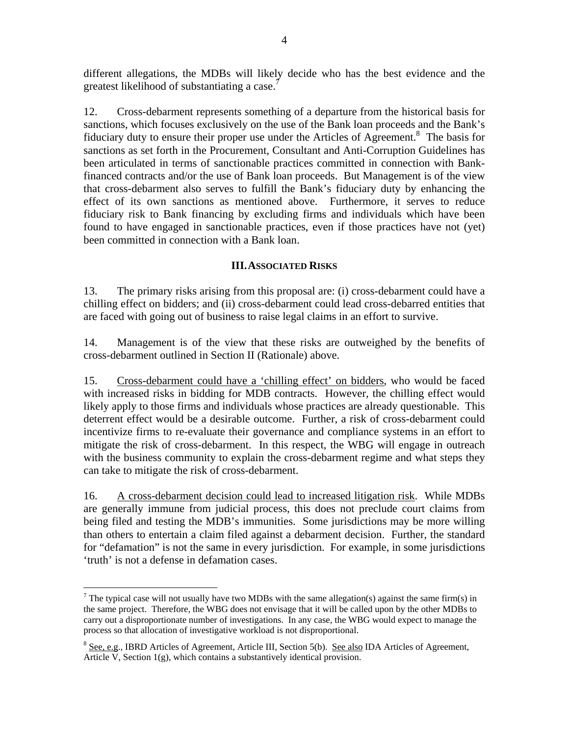different allegations, the MDBs will likely decide who has the best evidence and the greatest likelihood of substantiating a case.<sup>7</sup>

12. Cross-debarment represents something of a departure from the historical basis for sanctions, which focuses exclusively on the use of the Bank loan proceeds and the Bank's fiduciary duty to ensure their proper use under the Articles of Agreement.<sup>8</sup> The basis for sanctions as set forth in the Procurement, Consultant and Anti-Corruption Guidelines has been articulated in terms of sanctionable practices committed in connection with Bankfinanced contracts and/or the use of Bank loan proceeds. But Management is of the view that cross-debarment also serves to fulfill the Bank's fiduciary duty by enhancing the effect of its own sanctions as mentioned above. Furthermore, it serves to reduce fiduciary risk to Bank financing by excluding firms and individuals which have been found to have engaged in sanctionable practices, even if those practices have not (yet) been committed in connection with a Bank loan.

## **III.ASSOCIATED RISKS**

13. The primary risks arising from this proposal are: (i) cross-debarment could have a chilling effect on bidders; and (ii) cross-debarment could lead cross-debarred entities that are faced with going out of business to raise legal claims in an effort to survive.

14. Management is of the view that these risks are outweighed by the benefits of cross-debarment outlined in Section II (Rationale) above.

15. Cross-debarment could have a 'chilling effect' on bidders, who would be faced with increased risks in bidding for MDB contracts. However, the chilling effect would likely apply to those firms and individuals whose practices are already questionable. This deterrent effect would be a desirable outcome. Further, a risk of cross-debarment could incentivize firms to re-evaluate their governance and compliance systems in an effort to mitigate the risk of cross-debarment. In this respect, the WBG will engage in outreach with the business community to explain the cross-debarment regime and what steps they can take to mitigate the risk of cross-debarment.

16. A cross-debarment decision could lead to increased litigation risk. While MDBs are generally immune from judicial process, this does not preclude court claims from being filed and testing the MDB's immunities. Some jurisdictions may be more willing than others to entertain a claim filed against a debarment decision. Further, the standard for "defamation" is not the same in every jurisdiction. For example, in some jurisdictions 'truth' is not a defense in defamation cases.

1

<sup>&</sup>lt;sup>7</sup> The typical case will not usually have two MDBs with the same allegation(s) against the same firm(s) in the same project. Therefore, the WBG does not envisage that it will be called upon by the other MDBs to carry out a disproportionate number of investigations. In any case, the WBG would expect to manage the process so that allocation of investigative workload is not disproportional.

<sup>&</sup>lt;sup>8</sup> See, e.g., IBRD Articles of Agreement, Article III, Section 5(b). See also IDA Articles of Agreement, Article V, Section 1(g), which contains a substantively identical provision.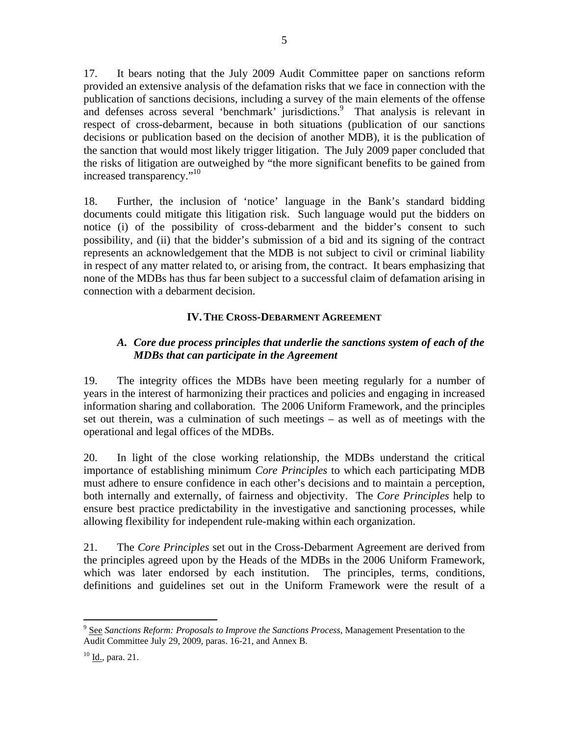17. It bears noting that the July 2009 Audit Committee paper on sanctions reform provided an extensive analysis of the defamation risks that we face in connection with the publication of sanctions decisions, including a survey of the main elements of the offense and defenses across several 'benchmark' jurisdictions.<sup>9</sup> That analysis is relevant in respect of cross-debarment, because in both situations (publication of our sanctions decisions or publication based on the decision of another MDB), it is the publication of the sanction that would most likely trigger litigation. The July 2009 paper concluded that the risks of litigation are outweighed by "the more significant benefits to be gained from increased transparency."<sup>10</sup>

18. Further, the inclusion of 'notice' language in the Bank's standard bidding documents could mitigate this litigation risk. Such language would put the bidders on notice (i) of the possibility of cross-debarment and the bidder's consent to such possibility, and (ii) that the bidder's submission of a bid and its signing of the contract represents an acknowledgement that the MDB is not subject to civil or criminal liability in respect of any matter related to, or arising from, the contract. It bears emphasizing that none of the MDBs has thus far been subject to a successful claim of defamation arising in connection with a debarment decision.

# **IV.THE CROSS-DEBARMENT AGREEMENT**

# *A. Core due process principles that underlie the sanctions system of each of the MDBs that can participate in the Agreement*

19. The integrity offices the MDBs have been meeting regularly for a number of years in the interest of harmonizing their practices and policies and engaging in increased information sharing and collaboration. The 2006 Uniform Framework, and the principles set out therein, was a culmination of such meetings – as well as of meetings with the operational and legal offices of the MDBs.

20. In light of the close working relationship, the MDBs understand the critical importance of establishing minimum *Core Principles* to which each participating MDB must adhere to ensure confidence in each other's decisions and to maintain a perception, both internally and externally, of fairness and objectivity. The *Core Principles* help to ensure best practice predictability in the investigative and sanctioning processes, while allowing flexibility for independent rule-making within each organization.

21. The *Core Principles* set out in the Cross-Debarment Agreement are derived from the principles agreed upon by the Heads of the MDBs in the 2006 Uniform Framework, which was later endorsed by each institution. The principles, terms, conditions, definitions and guidelines set out in the Uniform Framework were the result of a

<sup>&</sup>lt;sup>9</sup> See Sanctions Reform: Proposals to Improve the Sanctions Process, Management Presentation to the Audit Committee July 29, 2009, paras. 16-21, and Annex B.

 $10$  Id., para. 21.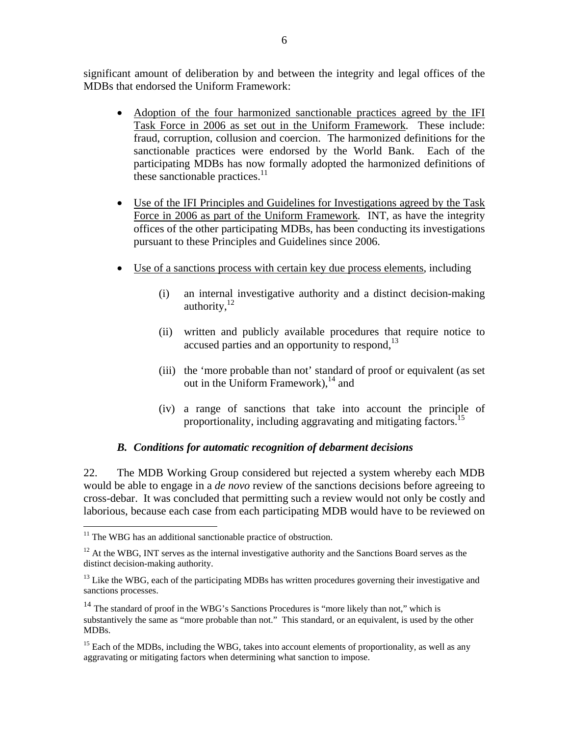significant amount of deliberation by and between the integrity and legal offices of the MDBs that endorsed the Uniform Framework:

- Adoption of the four harmonized sanctionable practices agreed by the IFI Task Force in 2006 as set out in the Uniform Framework*.* These include: fraud, corruption, collusion and coercion. The harmonized definitions for the sanctionable practices were endorsed by the World Bank. Each of the participating MDBs has now formally adopted the harmonized definitions of these sanctionable practices. $11$
- Use of the IFI Principles and Guidelines for Investigations agreed by the Task Force in 2006 as part of the Uniform Framework*.* INT, as have the integrity offices of the other participating MDBs, has been conducting its investigations pursuant to these Principles and Guidelines since 2006.
- Use of a sanctions process with certain key due process elements, including
	- (i) an internal investigative authority and a distinct decision-making authority, $12$
	- (ii) written and publicly available procedures that require notice to accused parties and an opportunity to respond, $^{13}$
	- (iii) the 'more probable than not' standard of proof or equivalent (as set out in the Uniform Framework), $^{14}$  and
	- (iv) a range of sanctions that take into account the principle of proportionality, including aggravating and mitigating factors.<sup>15</sup>

## *B. Conditions for automatic recognition of debarment decisions*

22. The MDB Working Group considered but rejected a system whereby each MDB would be able to engage in a *de novo* review of the sanctions decisions before agreeing to cross-debar. It was concluded that permitting such a review would not only be costly and laborious, because each case from each participating MDB would have to be reviewed on

 $11$  The WBG has an additional sanctionable practice of obstruction.

 $12$  At the WBG, INT serves as the internal investigative authority and the Sanctions Board serves as the distinct decision-making authority.

<sup>&</sup>lt;sup>13</sup> Like the WBG, each of the participating MDBs has written procedures governing their investigative and sanctions processes.

<sup>&</sup>lt;sup>14</sup> The standard of proof in the WBG's Sanctions Procedures is "more likely than not," which is substantively the same as "more probable than not." This standard, or an equivalent, is used by the other MDBs.

<sup>&</sup>lt;sup>15</sup> Each of the MDBs, including the WBG, takes into account elements of proportionality, as well as any aggravating or mitigating factors when determining what sanction to impose.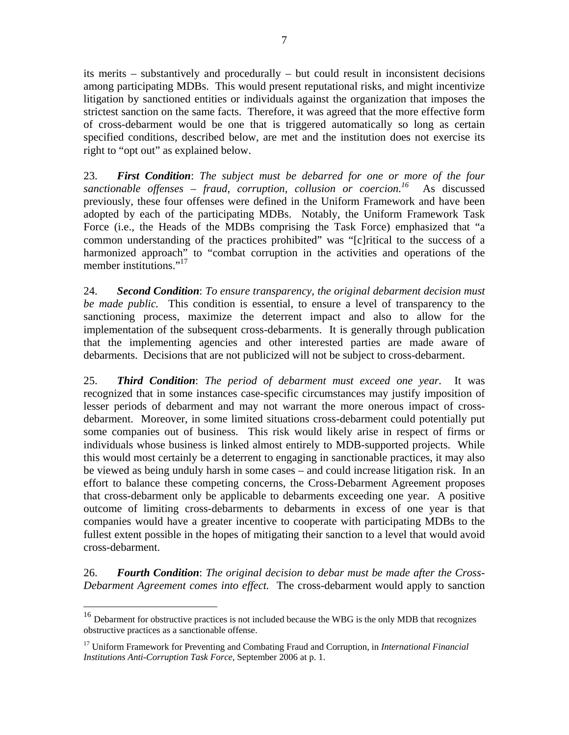its merits – substantively and procedurally – but could result in inconsistent decisions among participating MDBs. This would present reputational risks, and might incentivize litigation by sanctioned entities or individuals against the organization that imposes the strictest sanction on the same facts. Therefore, it was agreed that the more effective form of cross-debarment would be one that is triggered automatically so long as certain specified conditions, described below, are met and the institution does not exercise its right to "opt out" as explained below.

23. *First Condition*: *The subject must be debarred for one or more of the four*   $s$ anctionable offenses – fraud, corruption, collusion or coercion.<sup>16</sup> As discussed previously, these four offenses were defined in the Uniform Framework and have been adopted by each of the participating MDBs. Notably, the Uniform Framework Task Force (i.e., the Heads of the MDBs comprising the Task Force) emphasized that "a common understanding of the practices prohibited" was "[c]ritical to the success of a harmonized approach" to "combat corruption in the activities and operations of the member institutions."<sup>17</sup>

24. *Second Condition*: *To ensure transparency, the original debarment decision must be made public.* This condition is essential, to ensure a level of transparency to the sanctioning process, maximize the deterrent impact and also to allow for the implementation of the subsequent cross-debarments. It is generally through publication that the implementing agencies and other interested parties are made aware of debarments. Decisions that are not publicized will not be subject to cross-debarment.

25. *Third Condition*: *The period of debarment must exceed one year.* It was recognized that in some instances case-specific circumstances may justify imposition of lesser periods of debarment and may not warrant the more onerous impact of crossdebarment. Moreover, in some limited situations cross-debarment could potentially put some companies out of business. This risk would likely arise in respect of firms or individuals whose business is linked almost entirely to MDB-supported projects. While this would most certainly be a deterrent to engaging in sanctionable practices, it may also be viewed as being unduly harsh in some cases – and could increase litigation risk. In an effort to balance these competing concerns, the Cross-Debarment Agreement proposes that cross-debarment only be applicable to debarments exceeding one year. A positive outcome of limiting cross-debarments to debarments in excess of one year is that companies would have a greater incentive to cooperate with participating MDBs to the fullest extent possible in the hopes of mitigating their sanction to a level that would avoid cross-debarment.

26. *Fourth Condition*: *The original decision to debar must be made after the Cross-Debarment Agreement comes into effect.* The cross-debarment would apply to sanction

<sup>&</sup>lt;sup>16</sup> Debarment for obstructive practices is not included because the WBG is the only MDB that recognizes obstructive practices as a sanctionable offense.

<sup>17</sup> Uniform Framework for Preventing and Combating Fraud and Corruption, in *International Financial Institutions Anti-Corruption Task Force*, September 2006 at p. 1.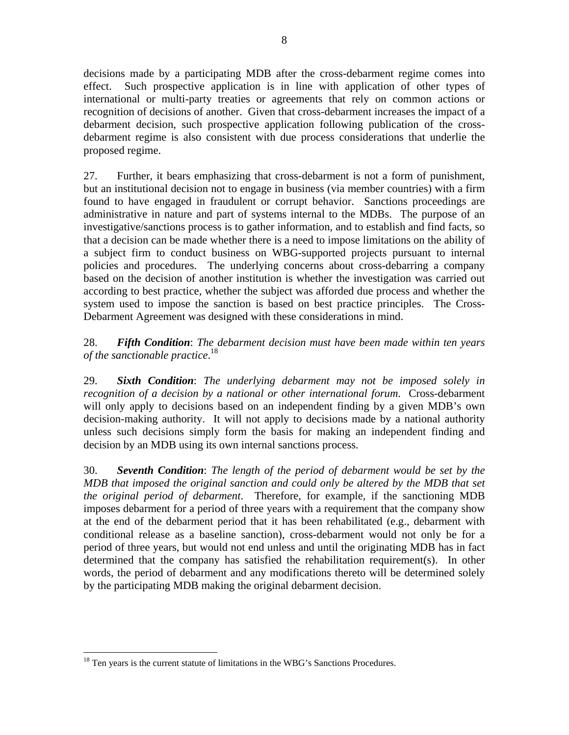decisions made by a participating MDB after the cross-debarment regime comes into effect. Such prospective application is in line with application of other types of international or multi-party treaties or agreements that rely on common actions or recognition of decisions of another. Given that cross-debarment increases the impact of a debarment decision, such prospective application following publication of the crossdebarment regime is also consistent with due process considerations that underlie the proposed regime.

27. Further, it bears emphasizing that cross-debarment is not a form of punishment, but an institutional decision not to engage in business (via member countries) with a firm found to have engaged in fraudulent or corrupt behavior. Sanctions proceedings are administrative in nature and part of systems internal to the MDBs. The purpose of an investigative/sanctions process is to gather information, and to establish and find facts, so that a decision can be made whether there is a need to impose limitations on the ability of a subject firm to conduct business on WBG-supported projects pursuant to internal policies and procedures. The underlying concerns about cross-debarring a company based on the decision of another institution is whether the investigation was carried out according to best practice, whether the subject was afforded due process and whether the system used to impose the sanction is based on best practice principles. The Cross-Debarment Agreement was designed with these considerations in mind.

28. *Fifth Condition*: *The debarment decision must have been made within ten years of the sanctionable practice*. 18

29. *Sixth Condition*: *The underlying debarment may not be imposed solely in recognition of a decision by a national or other international forum*. Cross-debarment will only apply to decisions based on an independent finding by a given MDB's own decision-making authority. It will not apply to decisions made by a national authority unless such decisions simply form the basis for making an independent finding and decision by an MDB using its own internal sanctions process.

30. *Seventh Condition*: *The length of the period of debarment would be set by the MDB that imposed the original sanction and could only be altered by the MDB that set the original period of debarment*. Therefore, for example, if the sanctioning MDB imposes debarment for a period of three years with a requirement that the company show at the end of the debarment period that it has been rehabilitated (e.g., debarment with conditional release as a baseline sanction), cross-debarment would not only be for a period of three years, but would not end unless and until the originating MDB has in fact determined that the company has satisfied the rehabilitation requirement(s). In other words, the period of debarment and any modifications thereto will be determined solely by the participating MDB making the original debarment decision.

<u>.</u>

<sup>&</sup>lt;sup>18</sup> Ten years is the current statute of limitations in the WBG's Sanctions Procedures.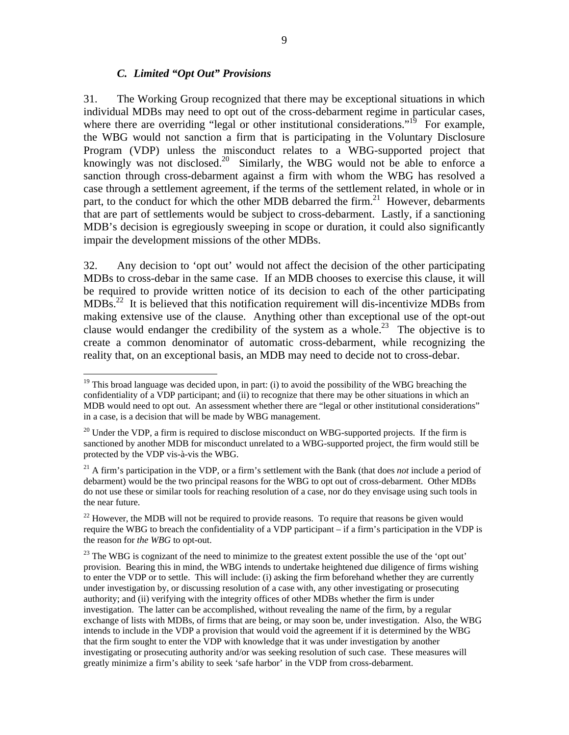#### *C. Limited "Opt Out" Provisions*

 $\overline{a}$ 

31. The Working Group recognized that there may be exceptional situations in which individual MDBs may need to opt out of the cross-debarment regime in particular cases, where there are overriding "legal or other institutional considerations."<sup>19</sup> For example, the WBG would not sanction a firm that is participating in the Voluntary Disclosure Program (VDP) unless the misconduct relates to a WBG-supported project that knowingly was not disclosed.<sup>20</sup> Similarly, the WBG would not be able to enforce a sanction through cross-debarment against a firm with whom the WBG has resolved a case through a settlement agreement, if the terms of the settlement related, in whole or in part, to the conduct for which the other MDB debarred the firm.<sup>21</sup> However, debarments that are part of settlements would be subject to cross-debarment. Lastly, if a sanctioning MDB's decision is egregiously sweeping in scope or duration, it could also significantly impair the development missions of the other MDBs.

32. Any decision to 'opt out' would not affect the decision of the other participating MDBs to cross-debar in the same case. If an MDB chooses to exercise this clause, it will be required to provide written notice of its decision to each of the other participating  $MDBs<sup>22</sup>$  It is believed that this notification requirement will dis-incentivize MDBs from making extensive use of the clause. Anything other than exceptional use of the opt-out clause would endanger the credibility of the system as a whole.<sup>23</sup> The objective is to create a common denominator of automatic cross-debarment, while recognizing the reality that, on an exceptional basis, an MDB may need to decide not to cross-debar.

 $19$  This broad language was decided upon, in part: (i) to avoid the possibility of the WBG breaching the confidentiality of a VDP participant; and (ii) to recognize that there may be other situations in which an MDB would need to opt out. An assessment whether there are "legal or other institutional considerations" in a case, is a decision that will be made by WBG management.

 $20$  Under the VDP, a firm is required to disclose misconduct on WBG-supported projects. If the firm is sanctioned by another MDB for misconduct unrelated to a WBG-supported project, the firm would still be protected by the VDP vis-à-vis the WBG.

<sup>21</sup> A firm's participation in the VDP, or a firm's settlement with the Bank (that does *not* include a period of debarment) would be the two principal reasons for the WBG to opt out of cross-debarment. Other MDBs do not use these or similar tools for reaching resolution of a case, nor do they envisage using such tools in the near future.

 $22$  However, the MDB will not be required to provide reasons. To require that reasons be given would require the WBG to breach the confidentiality of a VDP participant – if a firm's participation in the VDP is the reason for *the WBG* to opt-out.

<sup>&</sup>lt;sup>23</sup> The WBG is cognizant of the need to minimize to the greatest extent possible the use of the 'opt out' provision. Bearing this in mind, the WBG intends to undertake heightened due diligence of firms wishing to enter the VDP or to settle. This will include: (i) asking the firm beforehand whether they are currently under investigation by, or discussing resolution of a case with, any other investigating or prosecuting authority; and (ii) verifying with the integrity offices of other MDBs whether the firm is under investigation. The latter can be accomplished, without revealing the name of the firm, by a regular exchange of lists with MDBs, of firms that are being, or may soon be, under investigation. Also, the WBG intends to include in the VDP a provision that would void the agreement if it is determined by the WBG that the firm sought to enter the VDP with knowledge that it was under investigation by another investigating or prosecuting authority and/or was seeking resolution of such case. These measures will greatly minimize a firm's ability to seek 'safe harbor' in the VDP from cross-debarment.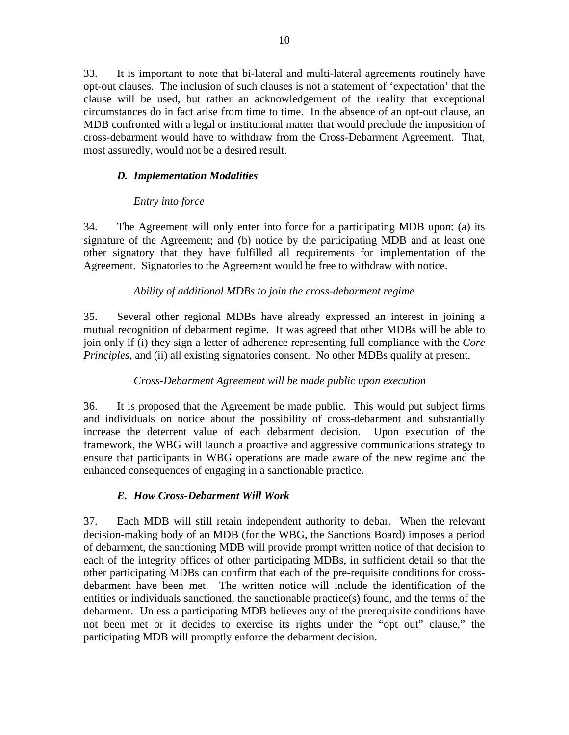33. It is important to note that bi-lateral and multi-lateral agreements routinely have opt-out clauses. The inclusion of such clauses is not a statement of 'expectation' that the clause will be used, but rather an acknowledgement of the reality that exceptional circumstances do in fact arise from time to time. In the absence of an opt-out clause, an MDB confronted with a legal or institutional matter that would preclude the imposition of cross-debarment would have to withdraw from the Cross-Debarment Agreement. That, most assuredly, would not be a desired result.

# *D. Implementation Modalities*

# *Entry into force*

34. The Agreement will only enter into force for a participating MDB upon: (a) its signature of the Agreement; and (b) notice by the participating MDB and at least one other signatory that they have fulfilled all requirements for implementation of the Agreement. Signatories to the Agreement would be free to withdraw with notice.

# *Ability of additional MDBs to join the cross-debarment regime*

35. Several other regional MDBs have already expressed an interest in joining a mutual recognition of debarment regime. It was agreed that other MDBs will be able to join only if (i) they sign a letter of adherence representing full compliance with the *Core Principles,* and (ii) all existing signatories consent. No other MDBs qualify at present.

# *Cross-Debarment Agreement will be made public upon execution*

36. It is proposed that the Agreement be made public. This would put subject firms and individuals on notice about the possibility of cross-debarment and substantially increase the deterrent value of each debarment decision. Upon execution of the framework, the WBG will launch a proactive and aggressive communications strategy to ensure that participants in WBG operations are made aware of the new regime and the enhanced consequences of engaging in a sanctionable practice.

# *E. How Cross-Debarment Will Work*

37. Each MDB will still retain independent authority to debar. When the relevant decision-making body of an MDB (for the WBG, the Sanctions Board) imposes a period of debarment, the sanctioning MDB will provide prompt written notice of that decision to each of the integrity offices of other participating MDBs, in sufficient detail so that the other participating MDBs can confirm that each of the pre-requisite conditions for crossdebarment have been met. The written notice will include the identification of the entities or individuals sanctioned, the sanctionable practice(s) found, and the terms of the debarment. Unless a participating MDB believes any of the prerequisite conditions have not been met or it decides to exercise its rights under the "opt out" clause," the participating MDB will promptly enforce the debarment decision.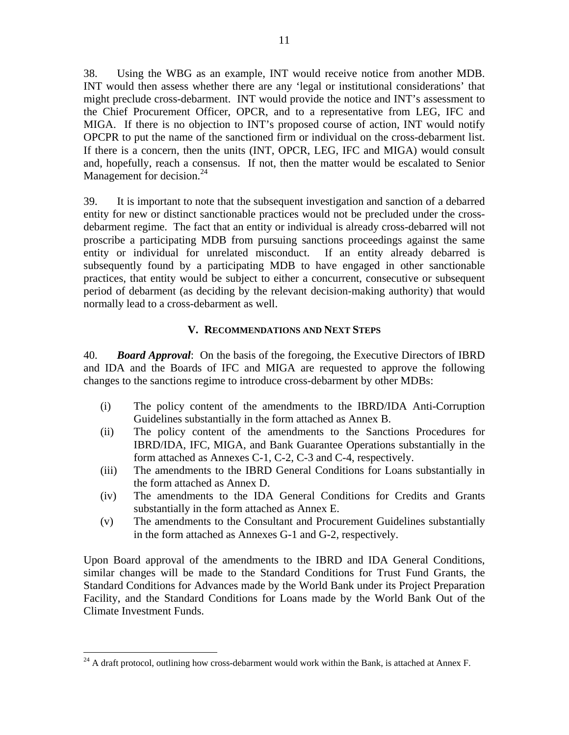38. Using the WBG as an example, INT would receive notice from another MDB. INT would then assess whether there are any 'legal or institutional considerations' that might preclude cross-debarment. INT would provide the notice and INT's assessment to the Chief Procurement Officer, OPCR, and to a representative from LEG, IFC and MIGA. If there is no objection to INT's proposed course of action, INT would notify OPCPR to put the name of the sanctioned firm or individual on the cross-debarment list. If there is a concern, then the units (INT, OPCR, LEG, IFC and MIGA) would consult and, hopefully, reach a consensus. If not, then the matter would be escalated to Senior Management for decision.<sup>24</sup>

39. It is important to note that the subsequent investigation and sanction of a debarred entity for new or distinct sanctionable practices would not be precluded under the crossdebarment regime. The fact that an entity or individual is already cross-debarred will not proscribe a participating MDB from pursuing sanctions proceedings against the same entity or individual for unrelated misconduct. If an entity already debarred is subsequently found by a participating MDB to have engaged in other sanctionable practices, that entity would be subject to either a concurrent, consecutive or subsequent period of debarment (as deciding by the relevant decision-making authority) that would normally lead to a cross-debarment as well.

## **V. RECOMMENDATIONS AND NEXT STEPS**

40. *Board Approval*: On the basis of the foregoing, the Executive Directors of IBRD and IDA and the Boards of IFC and MIGA are requested to approve the following changes to the sanctions regime to introduce cross-debarment by other MDBs:

- (i) The policy content of the amendments to the IBRD/IDA Anti-Corruption Guidelines substantially in the form attached as Annex B.
- (ii) The policy content of the amendments to the Sanctions Procedures for IBRD/IDA, IFC, MIGA, and Bank Guarantee Operations substantially in the form attached as Annexes C-1, C-2, C-3 and C-4, respectively.
- (iii) The amendments to the IBRD General Conditions for Loans substantially in the form attached as Annex D.
- (iv) The amendments to the IDA General Conditions for Credits and Grants substantially in the form attached as Annex E.
- (v) The amendments to the Consultant and Procurement Guidelines substantially in the form attached as Annexes G-1 and G-2, respectively.

Upon Board approval of the amendments to the IBRD and IDA General Conditions, similar changes will be made to the Standard Conditions for Trust Fund Grants, the Standard Conditions for Advances made by the World Bank under its Project Preparation Facility, and the Standard Conditions for Loans made by the World Bank Out of the Climate Investment Funds.

<u>.</u>

 $^{24}$  A draft protocol, outlining how cross-debarment would work within the Bank, is attached at Annex F.